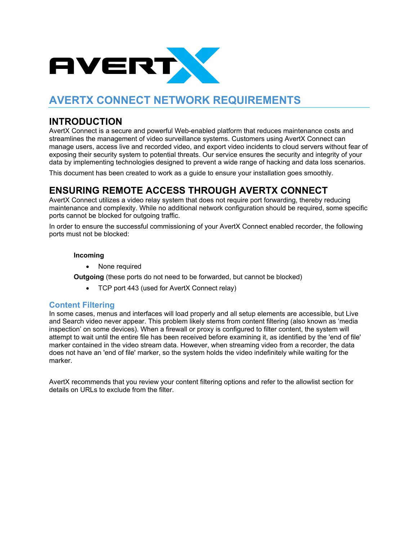

# **AVERTX CONNECT NETWORK REQUIREMENTS**

### **INTRODUCTION**

AvertX Connect is a secure and powerful Web-enabled platform that reduces maintenance costs and streamlines the management of video surveillance systems. Customers using AvertX Connect can manage users, access live and recorded video, and export video incidents to cloud servers without fear of exposing their security system to potential threats. Our service ensures the security and integrity of your data by implementing technologies designed to prevent a wide range of hacking and data loss scenarios.

This document has been created to work as a guide to ensure your installation goes smoothly.

## **ENSURING REMOTE ACCESS THROUGH AVERTX CONNECT**

AvertX Connect utilizes a video relay system that does not require port forwarding, thereby reducing maintenance and complexity. While no additional network configuration should be required, some specific ports cannot be blocked for outgoing traffic.

In order to ensure the successful commissioning of your AvertX Connect enabled recorder, the following ports must not be blocked:

#### **Incoming**

• None required

**Outgoing** (these ports do not need to be forwarded, but cannot be blocked)

• TCP port 443 (used for AvertX Connect relay)

#### **Content Filtering**

In some cases, menus and interfaces will load properly and all setup elements are accessible, but Live and Search video never appear. This problem likely stems from content filtering (also known as 'media inspection' on some devices). When a firewall or proxy is configured to filter content, the system will attempt to wait until the entire file has been received before examining it, as identified by the 'end of file' marker contained in the video stream data. However, when streaming video from a recorder, the data does not have an 'end of file' marker, so the system holds the video indefinitely while waiting for the marker.

AvertX recommends that you review your content filtering options and refer to the allowlist section for details on URLs to exclude from the filter.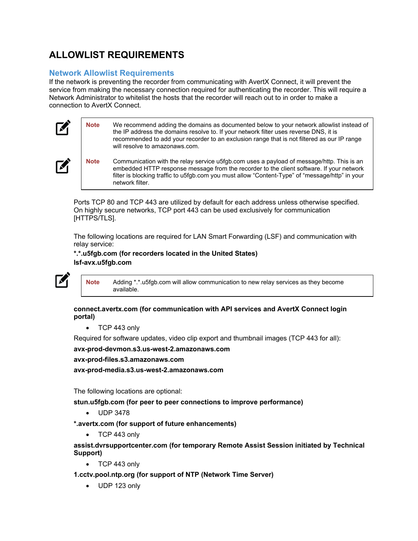# **ALLOWLIST REQUIREMENTS**

### **Network Allowlist Requirements**

If the network is preventing the recorder from communicating with AvertX Connect, it will prevent the service from making the necessary connection required for authenticating the recorder. This will require a Network Administrator to whitelist the hosts that the recorder will reach out to in order to make a connection to AvertX Connect.

| $\mathbf{K}$   | <b>Note</b> | We recommend adding the domains as documented below to your network allowlist instead of<br>the IP address the domains resolve to. If your network filter uses reverse DNS, it is<br>recommended to add your recorder to an exclusion range that is not filtered as our IP range<br>will resolve to amazonaws.com. |
|----------------|-------------|--------------------------------------------------------------------------------------------------------------------------------------------------------------------------------------------------------------------------------------------------------------------------------------------------------------------|
| $\mathbf{z}_1$ | <b>Note</b> | Communication with the relay service u5fgb.com uses a payload of message/http. This is an<br>embedded HTTP response message from the recorder to the client software. If your network<br>filter is blocking traffic to u5fgb.com you must allow "Content-Type" of "message/http" in your<br>network filter.        |

Ports TCP 80 and TCP 443 are utilized by default for each address unless otherwise specified. On highly secure networks, TCP port 443 can be used exclusively for communication [HTTPS/TLS].

The following locations are required for LAN Smart Forwarding (LSF) and communication with relay service:

#### **\*.\*.u5fgb.com (for recorders located in the United States) lsf-avx.u5fgb.com**



**Note** Adding \*.\*.u5fgb.com will allow communication to new relay services as they become available.

#### **connect.avertx.com (for communication with API services and AvertX Connect login portal)**

• TCP 443 only

Required for software updates, video clip export and thumbnail images (TCP 443 for all):

#### **avx-prod-devmon.s3.us-west-2.amazonaws.com**

#### **avx-prod-files.s3.amazonaws.com**

**avx-prod-media.s3.us-west-2.amazonaws.com**

The following locations are optional:

**stun.u5fgb.com (for peer to peer connections to improve performance)**

• UDP 3478

**\*.avertx.com (for support of future enhancements)**

• TCP 443 only

#### **assist.dvrsupportcenter.com (for temporary Remote Assist Session initiated by Technical Support)**

- TCP 443 only
- **1.cctv.pool.ntp.org (for support of NTP (Network Time Server)**
	- UDP 123 only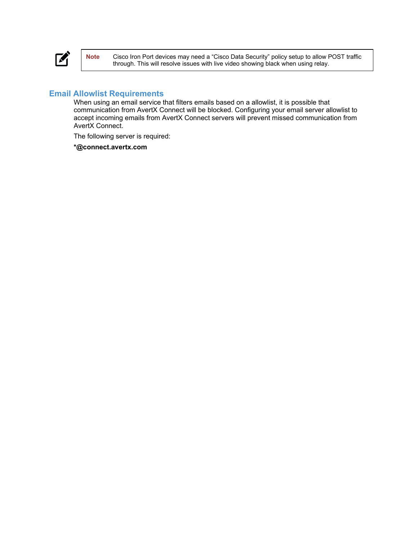

**Note** Cisco Iron Port devices may need a "Cisco Data Security" policy setup to allow POST traffic through. This will resolve issues with live video showing black when using relay.

### **Email Allowlist Requirements**

When using an email service that filters emails based on a allowlist, it is possible that communication from AvertX Connect will be blocked. Configuring your email server allowlist to accept incoming emails from AvertX Connect servers will prevent missed communication from AvertX Connect.

The following server is required:

**\*@connect.avertx.com**